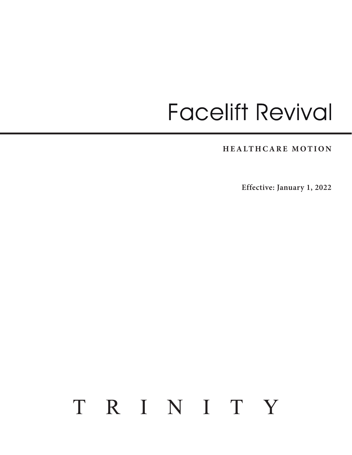# **Facelift Revival**

**HEALTHCARE MOTION**

**Effective: January 1, 2022**

# TRINITY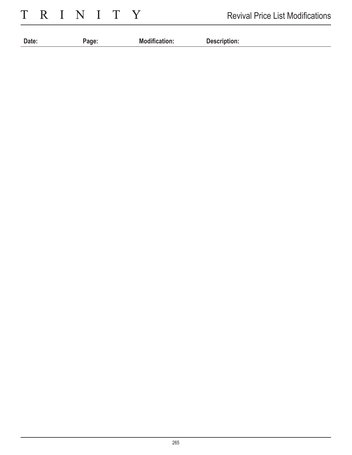TRINITY

| Date: | aqe: | M٥<br>∙gification. | <b>December</b><br>Description:<br><u> - - - - - - - -</u> |
|-------|------|--------------------|------------------------------------------------------------|
|       |      |                    |                                                            |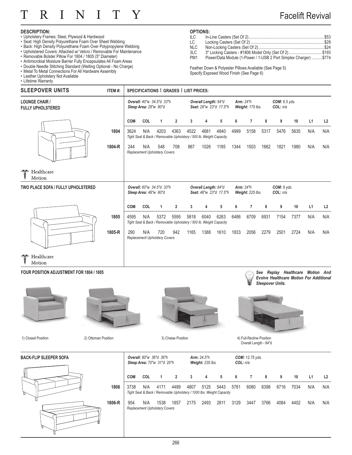

### Facelift Revival

#### **DESCRIPTION:**

- Upholstery Frames: Steel, Plywood & Hardwood
- Seat: High Density Polyurethane Foam Over Sheet Webbing
- Back: High Density Polyurethane Foam Over Polypropylene Webbing
- Upholstered Covers: Attached w/ Velcro / Removable For Maintenance
- Removable Bolster Pillow For 1804 / 1805 (5" Diameter)
- Antimicrobial Moisture Barrier Fully Encapsulates All Foam Areas • Double Needle Stitching Standard (Welting Optional - No Charge)
- Metal To Metal Connections For All Hardware Assembly
- Leather Upholstery Not Available

• Lifetime Warranty

### **OPTIONS:**

| <b>ILC</b>      |                                                                   |  |
|-----------------|-------------------------------------------------------------------|--|
| LC.             |                                                                   |  |
| <b>NLC</b>      |                                                                   |  |
| 3LC             | 3" Locking Casters - #1806 Model Only (Set Of 2)\$193             |  |
| PM <sub>1</sub> | Power/Data Module (1-Power / 1-USB 2 Port Simplex Charger)  \$774 |  |

Feather Down & Polyester Pillows Available (See Page 5) Specify Exposed Wood Finish (See Page 6)

| <b>SLEEPOVER UNITS</b>                            | ITEM#: |            |                       |                                             | SPECIFICATIONS   GRADES   LIST PRICES:                                     |      |                      |                        |      |                                      |      |                                  |      |     |     |
|---------------------------------------------------|--------|------------|-----------------------|---------------------------------------------|----------------------------------------------------------------------------|------|----------------------|------------------------|------|--------------------------------------|------|----------------------------------|------|-----|-----|
| <b>LOUNGE CHAIR /</b><br><b>FULLY UPHOLSTERED</b> |        |            | Sleep Area: 28"w 80"d | <b>Overall: 40"w 34.5"d 33"h</b>            |                                                                            |      | Overall Length: 84"d | Seat: 28"w 23"d 17.5"h |      | <b>Arm: 24"h</b><br>Weight: 175 lbs. |      | <b>COM:</b> 6.5 yds.<br>COL: n/a |      |     |     |
|                                                   |        | COM        | COL                   | 1                                           | $\overline{2}$                                                             | 3    | 4                    | 5                      | 6    | 7                                    | 8    | 9                                | 10   | L1  | L2  |
|                                                   | 1804   | 3624       | N/A                   | 4203                                        | 4363<br>Tight Seat & Back / Removable Upholstery / 500 lb. Weight Capacity | 4522 | 4681                 | 4840                   | 4999 | 5158                                 | 5317 | 5476                             | 5635 | N/A | N/A |
|                                                   | 1804-R | 244        | N/A                   | 548<br>Replacement Upholstery Covers        | 708                                                                        | 867  | 1026                 | 1185                   | 1344 | 1503                                 | 1662 | 1821                             | 1980 | N/A | N/A |
| Jose<br>Healthcare<br>Motion                      |        |            |                       |                                             |                                                                            |      |                      |                        |      |                                      |      |                                  |      |     |     |
| TWO PLACE SOFA / FULLY UPHOLSTERED                |        |            | Sleep Area: 48"w 80"d | <b>Overall:</b> 60"w 34.5"d 33"h            |                                                                            |      | Overall Length: 84"d | Seat: 48"w 23"d 17.5"h |      | <b>Arm: 24"h</b><br>Weight: 225 lbs. |      | COM: 9 yds.<br>COL: n/a          |      |     |     |
|                                                   |        | <b>COM</b> | COL                   | 1                                           | $\overline{2}$                                                             | 3    | 4                    | 5                      | 6    | 7                                    | 8    | 9                                | 10   | L1  | L2  |
|                                                   | 1805   | 4595       | N/A                   | 5372                                        | 5595<br>Tight Seat & Back / Removable Upholstery / 500 lb. Weight Capacity | 5818 | 6040                 | 6263                   | 6486 | 6709                                 | 6931 | 7154                             | 7377 | N/A | N/A |
|                                                   | 1805-R | 290        | N/A                   | 720<br><b>Replacement Upholstery Covers</b> | 942                                                                        | 1165 | 1388                 | 1610                   | 1833 | 2056                                 | 2279 | 2501                             | 2724 | N/A | N/A |

air. Healthcare ğ

Motion

#### **FOUR POSITION ADJUSTMENT FOR 1804 / 1805**







3) Chaise Position

*See Replay Healthcare Motion And Evolve Healthcare Motion For Additional Sleepover Units.*



1) Closed Position 2) Ottoman Position 20 Ottoman Position 3) Chaise Position 4) Full-Recline Position Overall Length - 84"d



|        |            |     | <b>Overall:</b> 80"w 36"d 36"h<br><b>Sleep Area: 70"w 31"d 20"h</b>          |                |      | <b>Arm:</b> $24.5"h$<br>Weight: 235 lbs. |      | COL: n/a | <b>COM:</b> 12.75 yds. |      |      |      |     |     |
|--------|------------|-----|------------------------------------------------------------------------------|----------------|------|------------------------------------------|------|----------|------------------------|------|------|------|-----|-----|
|        | <b>COM</b> | COL | 1                                                                            | $\overline{2}$ | 3    | 4                                        | 5    | 6        | $\overline{7}$         | 8    | 9    | 10   | L1  | L2  |
| 1806   | 3738       | N/A | 4171<br>Tight Seat & Back / Removable Upholstery / 1000 lbs. Weight Capacity | 4489           | 4807 | 5125                                     | 5443 | 5761     | 6080                   | 6398 | 6716 | 7034 | N/A | N/A |
| 1806-R | 954        | N/A | 1538<br><b>Replacement Upholstery Covers</b>                                 | 1857           | 2175 | 2493                                     | 2811 | 3129     | 3447                   | 3766 | 4084 | 4402 | N/A | N/A |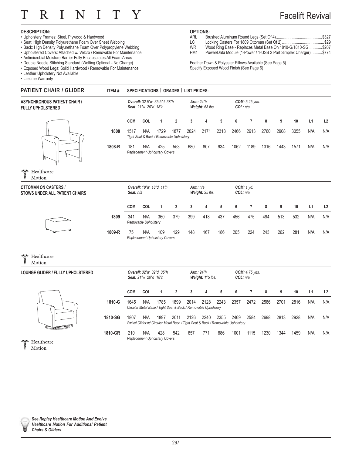#### $\overline{I}$ Τ  $\mathsf{R}$ N  $\mathbf{I}$ T Y

### Facelift Revival

#### **DESCRIPTION:**

- Upholstery Frames: Steel, Plywood & Hardwood
- Seat: High Density Polyurethane Foam Over Sheet Webbing
- Back: High Density Polyurethane Foam Over Polypropylene Webbing
- Upholstered Covers: Attached w/ Velcro / Removable For Maintenance
- Antimicrobial Moisture Barrier Fully Encapsulates All Foam Areas
- Double Needle Stitching Standard (Welting Optional No Charge)
- Exposed Wood Legs: Solid Hardwood / Removable For Maintenance
- Leather Upholstery Not Available
- Lifetime Warranty

### **OPTIONS:**

- ARL Brushed Aluminum Round Legs (Set Of 4) ............................................\$327
- LC Locking Casters For 1809 Ottoman (Set Of 2) ........................................\$29
- WR Wood Ring Base Replaces Metal Base On 1810-G/1810-SG ............\$207
- PM1 Power/Data Module (1-Power / 1-USB 2 Port Simplex Charger) .......... \$774

Feather Down & Polyester Pillows Available (See Page 5) Specify Exposed Wood Finish (See Page 6)

| <b>PATIENT CHAIR / GLIDER</b>                                                                                             | ITEM#:  |                                                     | SPECIFICATIONS   GRADES   LIST PRICES: |                                                  |                |                                                                                         |                                      |                            |          |                |      |      |      |                |     |
|---------------------------------------------------------------------------------------------------------------------------|---------|-----------------------------------------------------|----------------------------------------|--------------------------------------------------|----------------|-----------------------------------------------------------------------------------------|--------------------------------------|----------------------------|----------|----------------|------|------|------|----------------|-----|
| <b>ASYNCHRONOUS PATIENT CHAIR /</b><br><b>FULLY UPHOLSTERED</b>                                                           |         | Overall: 32.5"w 35.5"d 38"h<br>Seat: 21"w 20"d 18"h |                                        |                                                  |                | <b>Arm: 24"h</b><br>Weight: 63 lbs.                                                     |                                      | COM: 5.25 yds.<br>COL: n/a |          |                |      |      |      |                |     |
|                                                                                                                           |         | <b>COM</b>                                          | COL                                    | 1                                                | $\overline{2}$ | 3                                                                                       | 4                                    | 5                          | 6        | 7              | 8    | 9    | $10$ | L <sub>1</sub> | L2  |
|                                                                                                                           | 1808    | 1517                                                | N/A                                    | 1729<br>Tight Seat & Back / Removable Upholstery | 1877           | 2024                                                                                    | 2171                                 | 2318                       | 2466     | 2613           | 2760 | 2908 | 3055 | N/A            | N/A |
|                                                                                                                           | 1808-R  | 181                                                 | N/A                                    | 425<br>Replacement Upholstery Covers             | 553            | 680                                                                                     | 807                                  | 934                        | 1062     | 1189           | 1316 | 1443 | 1571 | N/A            | N/A |
| Healthcare<br>eger<br>P<br>Motion                                                                                         |         |                                                     |                                        |                                                  |                |                                                                                         |                                      |                            |          |                |      |      |      |                |     |
| <b>OTTOMAN ON CASTERS /</b><br>STOWS UNDER ALL PATIENT CHAIRS                                                             |         | Seat: n/a                                           |                                        | Overall: 18"w 18"d 11"h                          |                | Arm: n/a                                                                                | Weight: 25 lbs.                      |                            | COL: n/a | COM: 1 yd.     |      |      |      |                |     |
|                                                                                                                           |         | <b>COM</b>                                          | COL                                    | $\mathbf{1}$                                     | $\overline{2}$ | 3                                                                                       | 4                                    | 5                          | 6        | $\overline{7}$ | 8    | 9    | 10   | L <sub>1</sub> | L2  |
|                                                                                                                           | 1809    | 341                                                 | N/A<br>Removable Upholstery            | 360                                              | 379            | 399                                                                                     | 418                                  | 437                        | 456      | 475            | 494  | 513  | 532  | N/A            | N/A |
|                                                                                                                           | 1809-R  | 75                                                  | N/A                                    | 109<br>Replacement Upholstery Covers             | 129            | 148                                                                                     | 167                                  | 186                        | 205      | 224            | 243  | 262  | 281  | N/A            | N/A |
| Healthcare<br>وي<br>وي<br>Motion                                                                                          |         |                                                     |                                        |                                                  |                |                                                                                         |                                      |                            |          |                |      |      |      |                |     |
| LOUNGE GLIDER / FULLY UPHOLSTERED                                                                                         |         |                                                     | Seat: 21"w 20"d 18"h                   | Overall: 32"w 32"d 35"h                          |                |                                                                                         | <b>Arm: 24"h</b><br>Weight: 115 lbs. |                            | COL: n/a | COM: 4.75 yds. |      |      |      |                |     |
|                                                                                                                           |         | <b>COM</b>                                          | COL                                    | 1                                                | $\overline{2}$ | 3                                                                                       | 4                                    | 5                          | 6        | 7              | 8    | 9    | 10   | L1             | L2  |
|                                                                                                                           | 1810-G  | 1645                                                | N/A                                    | 1785                                             | 1899           | 2014<br>Circular Metal Base / Tight Seat & Back / Removable Upholstery                  | 2128                                 | 2243                       | 2357     | 2472           | 2586 | 2701 | 2816 | N/A            | N/A |
|                                                                                                                           | 1810-SG | 1807                                                | N/A                                    | 1897                                             | 2011           | 2126<br>Swivel Glider w/ Circular Metal Base / Tight Seat & Back / Removable Upholstery | 2240                                 | 2355                       | 2469     | 2584           | 2698 | 2813 | 2928 | N/A            | N/A |
| Healthcare                                                                                                                | 1810-GR | 210                                                 | N/A                                    | 428<br>Replacement Upholstery Covers             | 542            | 657                                                                                     | 771                                  | 886                        | 1001     | 1115           | 1230 | 1344 | 1459 | N/A            | N/A |
| 8<br>Motion                                                                                                               |         |                                                     |                                        |                                                  |                |                                                                                         |                                      |                            |          |                |      |      |      |                |     |
|                                                                                                                           |         |                                                     |                                        |                                                  |                |                                                                                         |                                      |                            |          |                |      |      |      |                |     |
|                                                                                                                           |         |                                                     |                                        |                                                  |                |                                                                                         |                                      |                            |          |                |      |      |      |                |     |
|                                                                                                                           |         |                                                     |                                        |                                                  |                |                                                                                         |                                      |                            |          |                |      |      |      |                |     |
| See Replay Healthcare Motion And Evolve<br><b>Healthcare Motion For Additional Patient</b><br><b>Chairs &amp; Gliders</b> |         |                                                     |                                        |                                                  |                |                                                                                         |                                      |                            |          |                |      |      |      |                |     |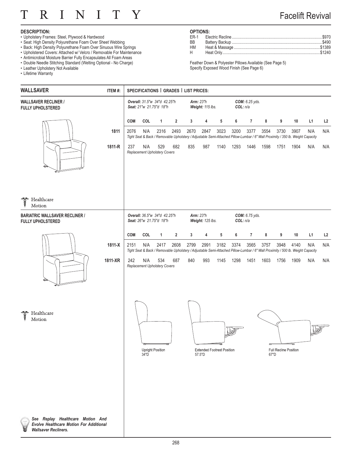#### $\overline{I}$ N  $\overline{I}$ T T R  $\rm Y$

### Facelift Revival

#### **DESCRIPTION:**

- Upholstery Frames: Steel, Plywood & Hardwood
- Seat: High Density Polyurethane Foam Over Sheet Webbing
- Back: High Density Polyurethane Foam Over Sinuous Wire Springs
- Upholstered Covers: Attached w/ Velcro / Removable For Maintenance
- Antimicrobial Moisture Barrier Fully Encapsulates All Foam Areas
- Double Needle Stitching Standard (Welting Optional No Charge)
- Leather Upholstery Not Available

*Wallsaver Recliners.*

U

• Lifetime Warranty

### **OPTIONS:**

| ВB |  |
|----|--|
| HМ |  |
|    |  |
|    |  |

Feather Down & Polyester Pillows Available (See Page 5) Specify Exposed Wood Finish (See Page 6)

| <b>WALLSAVER</b>                                                                   | ITEM #: |            |      |                                                         |                | SPECIFICATIONS   GRADES   LIST PRICES: |                                      |                                   |      |                            |      |                               |                                                                                                                                         |     |     |
|------------------------------------------------------------------------------------|---------|------------|------|---------------------------------------------------------|----------------|----------------------------------------|--------------------------------------|-----------------------------------|------|----------------------------|------|-------------------------------|-----------------------------------------------------------------------------------------------------------------------------------------|-----|-----|
| <b>WALLSAVER RECLINER /</b><br><b>FULLY UPHOLSTERED</b>                            |         |            |      | Overall: 31.5"w 34"d 42.25"h<br>Seat: 21"w 21.75"d 18"h |                |                                        | <b>Arm: 23"h</b><br>Weight: 115 lbs. |                                   |      | COM: 6.25 yds.<br>COL: n/a |      |                               |                                                                                                                                         |     |     |
|                                                                                    |         | <b>COM</b> | COL  | $\mathbf{1}$                                            | $\overline{2}$ | 3                                      | 4                                    | 5                                 | 6    | $\overline{7}$             | 8    | 9                             | 10                                                                                                                                      | L1  | L2  |
|                                                                                    | 1811    | 2076       | N/A  | 2316                                                    | 2493           | 2670                                   | 2847                                 | 3023                              | 3200 | 3377                       | 3554 | 3730                          | 3907<br>Tight Seat & Back / Removable Upholstery / Adjustable Semi-Attached Pillow-Lumbar / 6" Wall Proximity / 350 lb. Weight Capacity | N/A | N/A |
|                                                                                    | 1811-R  | 237        | N/A  | 529<br><b>Replacement Upholstery Covers</b>             | 682            | 835                                    | 987                                  | 1140                              | 1293 | 1446                       | 1598 | 1751                          | 1904                                                                                                                                    | N/A | N/A |
| Healthcare<br>$\frac{1}{8}$<br>Motion                                              |         |            |      |                                                         |                |                                        |                                      |                                   |      |                            |      |                               |                                                                                                                                         |     |     |
| <b>BARIATRIC WALLSAVER RECLINER /</b><br><b>FULLY UPHOLSTERED</b>                  |         |            |      | Overall: 36.5"w 34"d 42.25"h<br>Seat: 26"w 21.75"d 18"h |                |                                        | <b>Arm: 23"h</b><br>Weight: 125 lbs. |                                   |      | COM: 6.75 yds.<br>COL: n/a |      |                               |                                                                                                                                         |     |     |
|                                                                                    |         | <b>COM</b> | COL  | $\mathbf{1}$                                            | $\overline{2}$ | 3                                      | 4                                    | 5                                 | 6    | $\overline{7}$             | 8    | 9                             | 10                                                                                                                                      | L1  | L2  |
|                                                                                    | 1811-X  | 2151       | N/A  | 2417                                                    | 2608           | 2799                                   | 2991                                 | 3182                              | 3374 | 3565                       | 3757 | 3948                          | 4140<br>Tight Seat & Back / Removable Upholstery / Adjustable Semi-Attached Pillow-Lumbar / 6" Wall Proximity / 500 lb. Weight Capacity | N/A | N/A |
|                                                                                    | 1811-XR | 242        | N/A  | 534<br>Replacement Upholstery Covers                    | 687            | 840                                    | 993                                  | 1145                              | 1298 | 1451                       | 1603 | 1756                          | 1909                                                                                                                                    | N/A | N/A |
| Healthcare<br>Motion                                                               |         |            | 34"D | <b>Upright Position</b>                                 |                |                                        | 57.5"D                               | <b>Extended Footrest Position</b> |      |                            |      | Full Recline Position<br>67"D | ∍                                                                                                                                       |     |     |
| See Replay Healthcare Motion And<br><b>Evolve Healthcare Motion For Additional</b> |         |            |      |                                                         |                |                                        |                                      |                                   |      |                            |      |                               |                                                                                                                                         |     |     |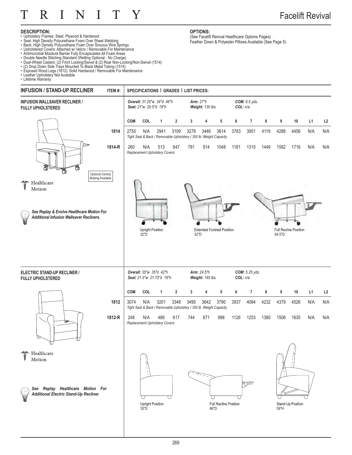

#### **DESCRIPTION:**

- Upholstery Frames: Steel, Plywood & Hardwood
- Seat: High Density Polyurethane Foam Over Sheet Webbing
- Back: High Density Polyurethane Foam Over Sinuous Wire Springs
- 
- 
- Upholstered Covers: Attached w/ Velcro / Removable For Maintenance<br>• Antimicrobial Moisture Barrier Fully Encapsulates All Foam Areas<br>• Double Needle Stitching Standard (Welting Optional No Charge)<br>• Dual-Wheel Casters
- 
- Exposed Wood Legs (1812): Solid Hardwood / Removable For Maintenance
- Leather Upholstery Not Available

• Lifetime Warranty



**OPTIONS:** (See Facelift Revival Healthcare Options Pages) Feather Down & Polyester Pillows Available (See Page 5)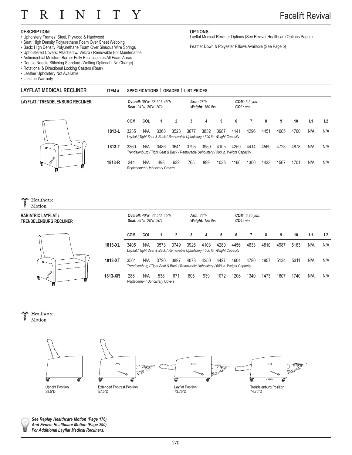#### T N T Τ Y  $\bf R$

### Facelift Revival

#### **DESCRIPTION:**

- Upholstery Frames: Steel, Plywood & Hardwood
- Seat: High Density Polyurethane Foam Over Sheet Webbing
- Back: High Density Polyurethane Foam Over Sinuous Wire Springs
- Upholstered Covers: Attached w/ Velcro / Removable For Maintenance
- Antimicrobial Moisture Barrier Fully Encapsulates All Foam Areas
- Double Needle Stitching Standard (Welting Optional No Charge)
- Rotational & Directional Locking Casters (Rear)
- Leather Upholstery Not Available
- Lifetime Warranty

**OPTIONS:** Layflat Medical Recliner Options (See Revival Healthcare Options Pages)

Feather Down & Polyester Pillows Available (See Page 5)



Healthcare

Motion



*See Replay Healthcare Motion (Page 176) And Evolve Healthcare Motion (Page 290)*  **For Additional Layflat Medical Recliners.**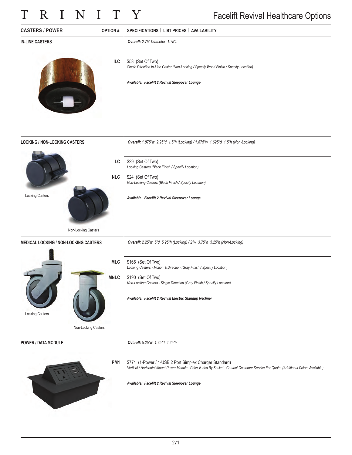# TRINITY

### Facelift Revival Healthcare Options

| <b>CASTERS / POWER</b>                       | <b>OPTION#:</b>                                  | SPECIFICATIONS   LIST PRICES   AVAILABILITY:                                                                                                                                                                                                            |
|----------------------------------------------|--------------------------------------------------|---------------------------------------------------------------------------------------------------------------------------------------------------------------------------------------------------------------------------------------------------------|
| <b>IN-LINE CASTERS</b>                       |                                                  | Overall: 2.75" Diameter 1.75"h                                                                                                                                                                                                                          |
|                                              | ILC                                              | \$53 (Set Of Two)<br>Single Direction In-Line Caster (Non-Locking / Specify Wood Finish / Specify Location)<br>Available: Facelift 2 Revival Sleepover Lounge                                                                                           |
| <b>LOCKING / NON-LOCKING CASTERS</b>         |                                                  | Overall: 1.875"w 2.25"d 1.5"h (Locking) / 1.875"w 1.625"d 1.5"h (Non-Locking)                                                                                                                                                                           |
| <b>Locking Casters</b>                       | LC<br><b>NLC</b><br>Non-Locking Casters          | \$29 (Set Of Two)<br>Locking Casters (Black Finish / Specify Location)<br>\$24 (Set Of Two)<br>Non-Locking Casters (Black Finish / Specify Location)<br>Available: Facelift 2 Revival Sleepover Lounge                                                  |
| <b>MEDICAL LOCKING / NON-LOCKING CASTERS</b> |                                                  | Overall: 2.25"w 5"d 5.25"h (Locking) / 2"w 3.75"d 5.25"h (Non-Locking)                                                                                                                                                                                  |
| <b>Locking Casters</b>                       | <b>MLC</b><br><b>MNLC</b><br>Non-Locking Casters | \$166 (Set Of Two)<br>Locking Casters - Motion & Direction (Gray Finish / Specify Location)<br>\$190 (Set Of Two)<br>Non-Locking Casters - Single Direction (Gray Finish / Specify Location)<br>Available: Facelift 2 Revival Electric Standup Recliner |
| POWER / DATA MODULE                          |                                                  | Overall: 5.25"w 1.25"d 4.25"h                                                                                                                                                                                                                           |
|                                              | PM <sub>1</sub>                                  | \$774 (1-Power / 1-USB 2 Port Simplex Charger Standard)<br>Vertical / Horizontal Mount Power Module. Price Varies By Socket. Contact Customer Service For Quote. (Additional Colors Available)<br>Available: Facelift 2 Revival Sleepover Lounge        |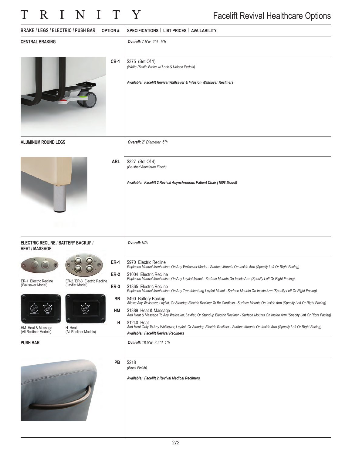### T R I N I T Y

| <b>BRAKE / LEGS / ELECTRIC / PUSH BAR</b>                                     | <b>OPTION#:</b> | SPECIFICATIONS   LIST PRICES   AVAILABILITY:                                                                                                                                                       |
|-------------------------------------------------------------------------------|-----------------|----------------------------------------------------------------------------------------------------------------------------------------------------------------------------------------------------|
| <b>CENTRAL BRAKING</b>                                                        |                 | Overall: 7.5"w 2"d .5"h                                                                                                                                                                            |
|                                                                               | $CB-1$          | \$375 (Set Of 1)<br>(White Plastic Brake w/ Lock & Unlock Pedals)<br>Available: Facelift Revival Wallsaver & Infusion Wallsaver Recliners                                                          |
| ALUMINUM ROUND LEGS                                                           |                 | Overall: 2" Diameter 5"h                                                                                                                                                                           |
|                                                                               | <b>ARL</b>      | \$327 (Set Of 4)<br>(Brushed Aluminum Finish)<br>Available: Facelift 2 Revival Asynchronous Patient Chair (1808 Model)                                                                             |
| ELECTRIC RECLINE / BATTERY BACKUP /<br><b>HEAT / MASSAGE</b>                  |                 | Overall: N/A                                                                                                                                                                                       |
|                                                                               | <b>ER-1</b>     | \$970 Electric Recline<br>Replaces Manual Mechanism On Any Wallsaver Model - Surface Mounts On Inside Arm (Specify Left Or Right Facing)                                                           |
| ER-2/ER-3 Electric Recline<br>ER-1 Electric Recline                           | <b>ER-2</b>     | \$1004 Electric Recline<br>Replaces Manual Mechanism On Any Layflat Model - Surface Mounts On Inside Arm (Specify Left Or Right Facing)                                                            |
| ( <i>vvalisaver Model)</i><br>(Layriat Model)                                 | <b>ER-3</b>     | \$1365 Electric Recline<br>Replaces Manual Mechanism On Any Trendelenburg Layflat Model - Surface Mounts On Inside Arm (Specify Left Or Right Facing)                                              |
| $\ddot{\circ}$<br>燃                                                           | BB              | \$490 Battery Backup<br>Allows Any Wallsaver, Layflat, Or Standup Electric Recliner To Be Cordless - Surface Mounts On Inside Arm (Specify Left Or Right Facing)                                   |
|                                                                               | HM              | \$1389 Heat & Massage<br>Add Heat & Massage To Any Wallsaver, Layflat, Or Standup Electric Recliner - Surface Mounts On Inside Arm (Specify Left Or Right Facing)                                  |
| HM Heat & Massage<br>(All Recliner Models)<br>H Heat<br>(All Recliner Models) | н               | \$1240 Heat<br>Add Heat Only To Any Wallsaver, Layflat, Or Standup Electric Recliner - Surface Mounts On Inside Arm (Specify Left Or Right Facing)<br><b>Available: Facelift Revival Recliners</b> |
| <b>PUSH BAR</b>                                                               |                 | Overall: 18.5"w 3.5"d 1"h                                                                                                                                                                          |
|                                                                               | PB              | \$218<br>(Black Finish)<br>Available: Facelift 2 Revival Medical Recliners                                                                                                                         |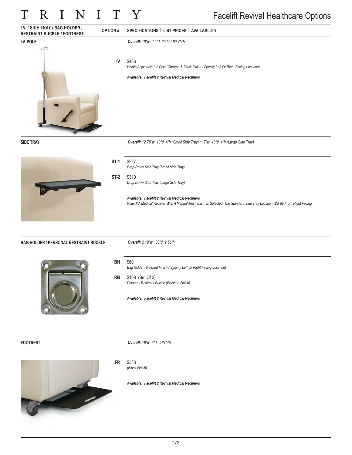## TRINITY

| I.V. / SIDE TRAY / BAG HOLDER /<br><b>OPTION#:</b><br><b>RESTRAINT BUCKLE / FOOTREST</b> | SPECIFICATIONS   LIST PRICES   AVAILABILITY:                                                                                                                                   |
|------------------------------------------------------------------------------------------|--------------------------------------------------------------------------------------------------------------------------------------------------------------------------------|
| I.V. POLE                                                                                | Overall: 10"w 2.5"d 39.5" / 69.75"h                                                                                                                                            |
| IV                                                                                       | \$436<br>Height Adjustable I.V. Pole (Chrome & Black Finish / Specify Left Or Right Facing Location)                                                                           |
|                                                                                          | Available: Facelift 2 Revival Medical Recliners                                                                                                                                |
| <b>SIDE TRAY</b>                                                                         | Overall: 12.75"w 10"d 4"h (Small Side Tray) / 17"w 10"d 4"h (Large Side Tray)                                                                                                  |
| $ST-1$                                                                                   | \$227<br>Drop-Down Side Tray (Small Side Tray)                                                                                                                                 |
| $ST-2$                                                                                   | \$310<br>Drop-Down Side Tray (Large Side Tray)                                                                                                                                 |
|                                                                                          | Available: Facelift 2 Revival Medical Recliners<br>Note: If A Medical Recliner With A Manual Mechanism Is Selected, The Standard Side Tray Location Will Be Front Right Facing |
| <b>BAG HOLDER / PERSONAL RESTRAINT BUCKLE</b>                                            | Overall: 2.19"w .38"d 2.56"h                                                                                                                                                   |
| BH                                                                                       | \$60<br>Bag Holder (Brushed Finish / Specify Left Or Right Facing Location)                                                                                                    |
| RB                                                                                       | \$108 (Set Of 2)<br>Personal Restraint Buckle (Brushed Finish)                                                                                                                 |
|                                                                                          | Available: Facelift 2 Revival Medical Recliners                                                                                                                                |
| <b>FOOTREST</b>                                                                          | Overall: 16"w 8"d .1875"h                                                                                                                                                      |
| <b>FR</b>                                                                                | \$333<br>(Black Finish)                                                                                                                                                        |
|                                                                                          | Available: Facelift 2 Revival Medical Recliners                                                                                                                                |